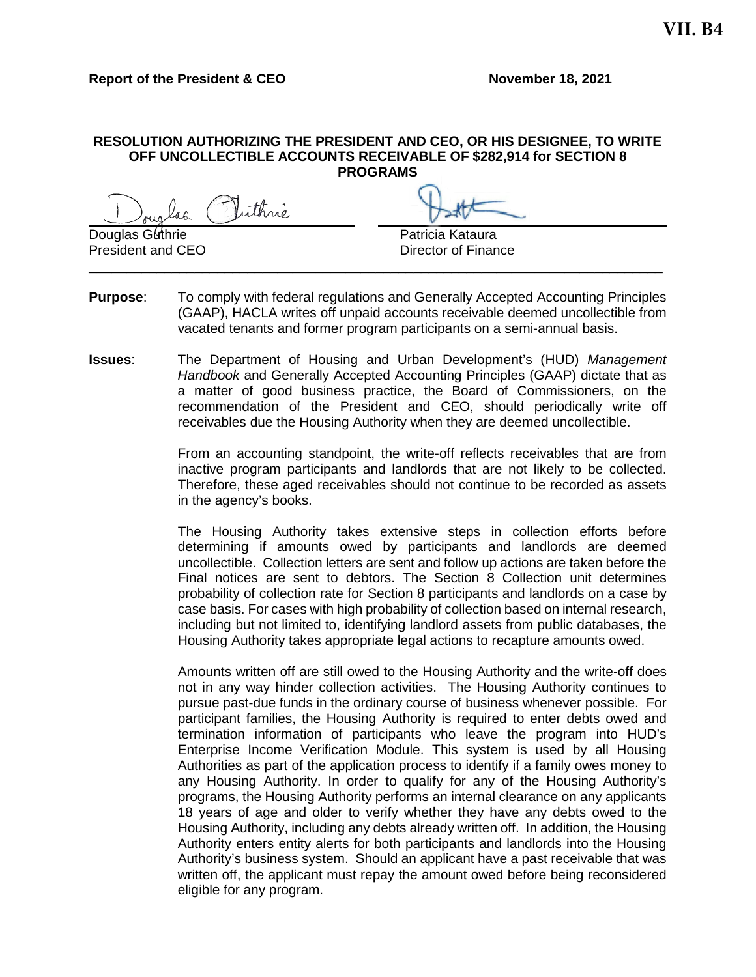#### **RESOLUTION AUTHORIZING THE PRESIDENT AND CEO, OR HIS DESIGNEE, TO WRITE OFF UNCOLLECTIBLE ACCOUNTS RECEIVABLE OF \$282,914 for SECTION 8 PROGRAMS**

uthnò.

President and CEO

Douglas Guthrie Patricia Kataura

**Purpose:** To comply with federal regulations and Generally Accepted Accounting Principles (GAAP), HACLA writes off unpaid accounts receivable deemed uncollectible from vacated tenants and former program participants on a semi-annual basis.

\_\_\_\_\_\_\_\_\_\_\_\_\_\_\_\_\_\_\_\_\_\_\_\_\_\_\_\_\_\_\_\_\_\_\_\_\_\_\_\_\_\_\_\_\_\_\_\_\_\_\_\_\_\_\_\_\_\_\_\_\_\_\_\_\_\_\_\_\_\_\_\_\_\_\_\_

**Issues**: The Department of Housing and Urban Development's (HUD) *Management Handbook* and Generally Accepted Accounting Principles (GAAP) dictate that as a matter of good business practice, the Board of Commissioners, on the recommendation of the President and CEO, should periodically write off receivables due the Housing Authority when they are deemed uncollectible.

> From an accounting standpoint, the write-off reflects receivables that are from inactive program participants and landlords that are not likely to be collected. Therefore, these aged receivables should not continue to be recorded as assets in the agency's books.

> The Housing Authority takes extensive steps in collection efforts before determining if amounts owed by participants and landlords are deemed uncollectible. Collection letters are sent and follow up actions are taken before the Final notices are sent to debtors. The Section 8 Collection unit determines probability of collection rate for Section 8 participants and landlords on a case by case basis. For cases with high probability of collection based on internal research, including but not limited to, identifying landlord assets from public databases, the Housing Authority takes appropriate legal actions to recapture amounts owed.

> Amounts written off are still owed to the Housing Authority and the write-off does not in any way hinder collection activities. The Housing Authority continues to pursue past-due funds in the ordinary course of business whenever possible. For participant families, the Housing Authority is required to enter debts owed and termination information of participants who leave the program into HUD's Enterprise Income Verification Module. This system is used by all Housing Authorities as part of the application process to identify if a family owes money to any Housing Authority. In order to qualify for any of the Housing Authority's programs, the Housing Authority performs an internal clearance on any applicants 18 years of age and older to verify whether they have any debts owed to the Housing Authority, including any debts already written off. In addition, the Housing Authority enters entity alerts for both participants and landlords into the Housing Authority's business system. Should an applicant have a past receivable that was written off, the applicant must repay the amount owed before being reconsidered eligible for any program.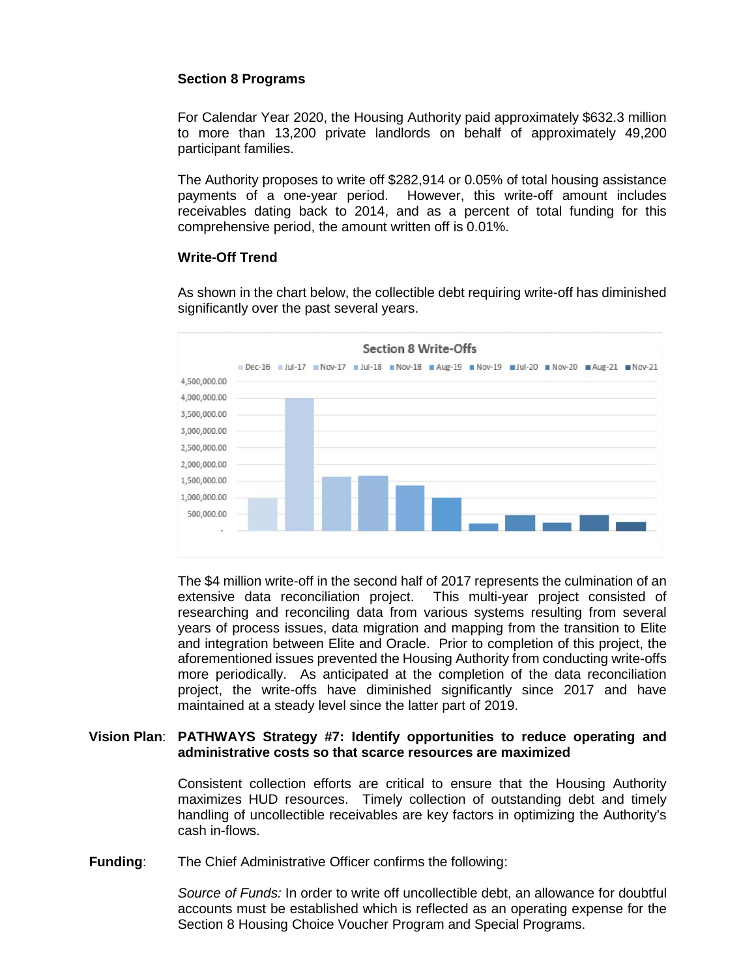## **Section 8 Programs**

For Calendar Year 2020, the Housing Authority paid approximately \$632.3 million to more than 13,200 private landlords on behalf of approximately 49,200 participant families.

The Authority proposes to write off \$282,914 or 0.05% of total housing assistance payments of a one-year period. However, this write-off amount includes receivables dating back to 2014, and as a percent of total funding for this comprehensive period, the amount written off is 0.01%.

### **Write-Off Trend**

As shown in the chart below, the collectible debt requiring write-off has diminished significantly over the past several years.



The \$4 million write-off in the second half of 2017 represents the culmination of an extensive data reconciliation project. This multi-year project consisted of researching and reconciling data from various systems resulting from several years of process issues, data migration and mapping from the transition to Elite and integration between Elite and Oracle. Prior to completion of this project, the aforementioned issues prevented the Housing Authority from conducting write-offs more periodically. As anticipated at the completion of the data reconciliation project, the write-offs have diminished significantly since 2017 and have maintained at a steady level since the latter part of 2019.

#### **Vision Plan**: **PATHWAYS Strategy #7: Identify opportunities to reduce operating and administrative costs so that scarce resources are maximized**

Consistent collection efforts are critical to ensure that the Housing Authority maximizes HUD resources. Timely collection of outstanding debt and timely handling of uncollectible receivables are key factors in optimizing the Authority's cash in-flows.

**Funding**: The Chief Administrative Officer confirms the following:

*Source of Funds:* In order to write off uncollectible debt, an allowance for doubtful accounts must be established which is reflected as an operating expense for the Section 8 Housing Choice Voucher Program and Special Programs.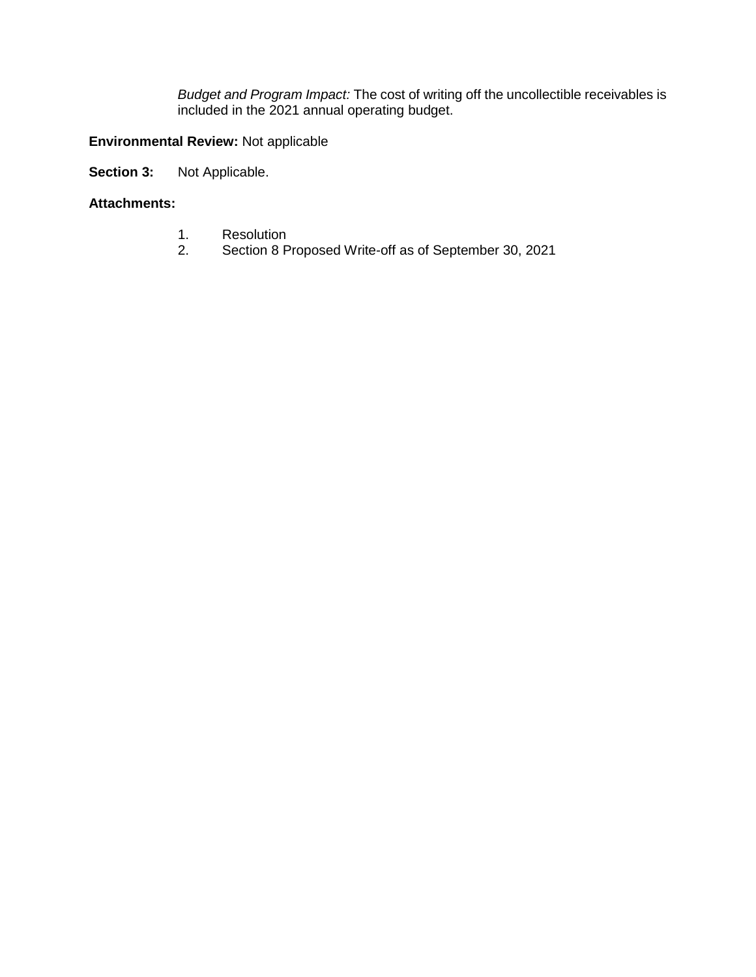*Budget and Program Impact:* The cost of writing off the uncollectible receivables is included in the 2021 annual operating budget.

## **Environmental Review:** Not applicable

**Section 3:** Not Applicable.

## **Attachments:**

- 1. Resolution<br>2. Section 8 P
- 2. Section 8 Proposed Write-off as of September 30, 2021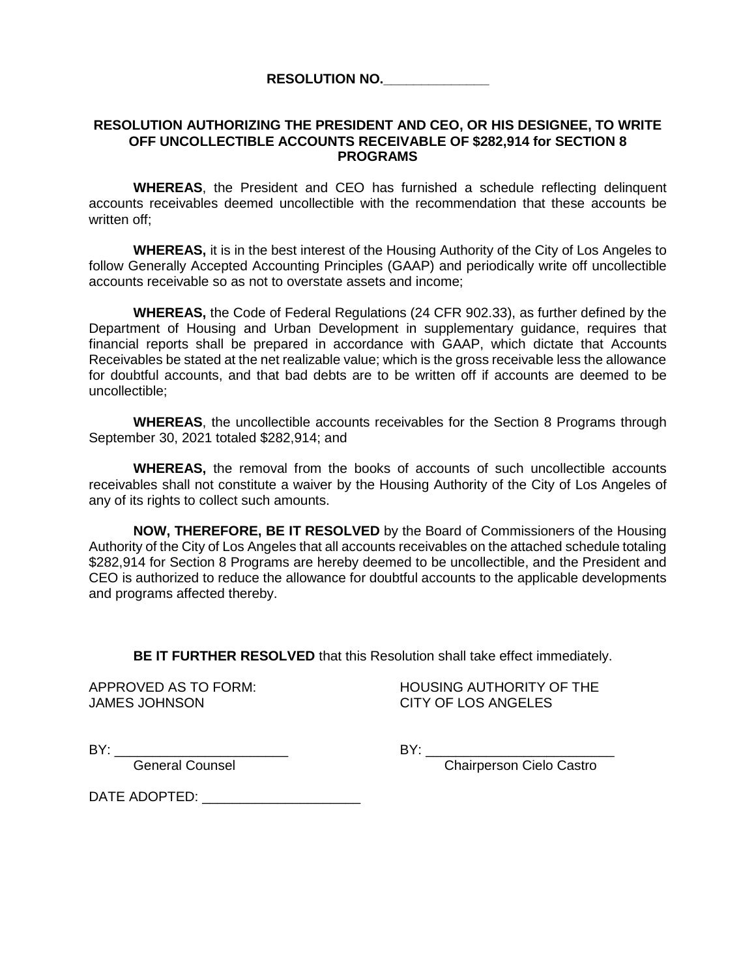**RESOLUTION NO.\_\_\_\_\_\_\_\_\_\_\_\_\_\_**

## **RESOLUTION AUTHORIZING THE PRESIDENT AND CEO, OR HIS DESIGNEE, TO WRITE OFF UNCOLLECTIBLE ACCOUNTS RECEIVABLE OF \$282,914 for SECTION 8 PROGRAMS**

**WHEREAS**, the President and CEO has furnished a schedule reflecting delinquent accounts receivables deemed uncollectible with the recommendation that these accounts be written off:

**WHEREAS,** it is in the best interest of the Housing Authority of the City of Los Angeles to follow Generally Accepted Accounting Principles (GAAP) and periodically write off uncollectible accounts receivable so as not to overstate assets and income;

**WHEREAS,** the Code of Federal Regulations (24 CFR 902.33), as further defined by the Department of Housing and Urban Development in supplementary guidance, requires that financial reports shall be prepared in accordance with GAAP, which dictate that Accounts Receivables be stated at the net realizable value; which is the gross receivable less the allowance for doubtful accounts, and that bad debts are to be written off if accounts are deemed to be uncollectible;

**WHEREAS**, the uncollectible accounts receivables for the Section 8 Programs through September 30, 2021 totaled \$282,914; and

**WHEREAS,** the removal from the books of accounts of such uncollectible accounts receivables shall not constitute a waiver by the Housing Authority of the City of Los Angeles of any of its rights to collect such amounts.

**NOW, THEREFORE, BE IT RESOLVED** by the Board of Commissioners of the Housing Authority of the City of Los Angeles that all accounts receivables on the attached schedule totaling \$282,914 for Section 8 Programs are hereby deemed to be uncollectible, and the President and CEO is authorized to reduce the allowance for doubtful accounts to the applicable developments and programs affected thereby.

**BE IT FURTHER RESOLVED** that this Resolution shall take effect immediately.

JAMES JOHNSON CITY OF LOS ANGELES

APPROVED AS TO FORM: HOUSING AUTHORITY OF THE

BY: \_\_\_\_\_\_\_\_\_\_\_\_\_\_\_\_\_\_\_\_\_\_\_ BY: \_\_\_\_\_\_\_\_\_\_\_\_\_\_\_\_\_\_\_\_\_\_\_\_\_

General Counsel Chairperson Cielo Castro

DATE ADOPTED:  $\blacksquare$